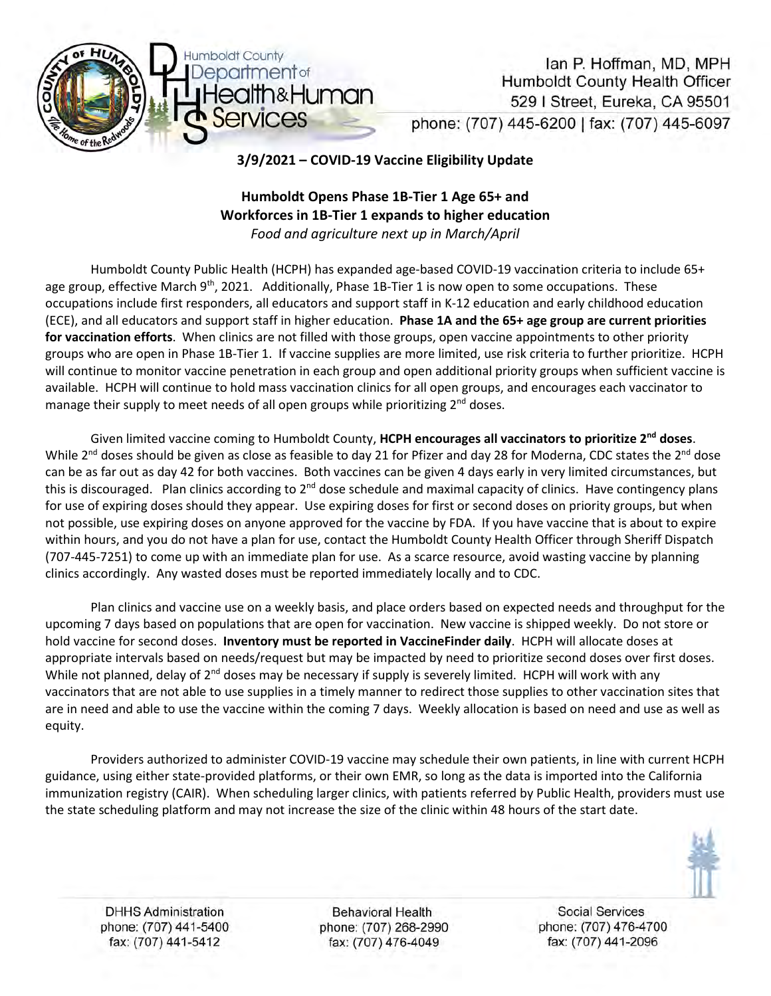

Ian P. Hoffman, MD, MPH Humboldt County Health Officer 529 | Street, Eureka, CA 95501 phone: (707) 445-6200 | fax: (707) 445-6097

**3/9/2021 – COVID-19 Vaccine Eligibility Update**

# **Humboldt Opens Phase 1B-Tier 1 Age 65+ and Workforces in 1B-Tier 1 expands to higher education** *Food and agriculture next up in March/April*

Humboldt County Public Health (HCPH) has expanded age-based COVID-19 vaccination criteria to include 65+ age group, effective March  $9<sup>th</sup>$ , 2021. Additionally, Phase 1B-Tier 1 is now open to some occupations. These occupations include first responders, all educators and support staff in K-12 education and early childhood education (ECE), and all educators and support staff in higher education. **Phase 1A and the 65+ age group are current priorities for vaccination efforts**. When clinics are not filled with those groups, open vaccine appointments to other priority groups who are open in Phase 1B-Tier 1. If vaccine supplies are more limited, use risk criteria to further prioritize. HCPH will continue to monitor vaccine penetration in each group and open additional priority groups when sufficient vaccine is available. HCPH will continue to hold mass vaccination clinics for all open groups, and encourages each vaccinator to manage their supply to meet needs of all open groups while prioritizing 2<sup>nd</sup> doses.

Given limited vaccine coming to Humboldt County, **HCPH encourages all vaccinators to prioritize 2nd doses**. While  $2^{nd}$  doses should be given as close as feasible to day 21 for Pfizer and day 28 for Moderna, CDC states the  $2^{nd}$  dose can be as far out as day 42 for both vaccines. Both vaccines can be given 4 days early in very limited circumstances, but this is discouraged. Plan clinics according to 2<sup>nd</sup> dose schedule and maximal capacity of clinics. Have contingency plans for use of expiring doses should they appear. Use expiring doses for first or second doses on priority groups, but when not possible, use expiring doses on anyone approved for the vaccine by FDA. If you have vaccine that is about to expire within hours, and you do not have a plan for use, contact the Humboldt County Health Officer through Sheriff Dispatch (707-445-7251) to come up with an immediate plan for use. As a scarce resource, avoid wasting vaccine by planning clinics accordingly. Any wasted doses must be reported immediately locally and to CDC.

Plan clinics and vaccine use on a weekly basis, and place orders based on expected needs and throughput for the upcoming 7 days based on populations that are open for vaccination. New vaccine is shipped weekly. Do not store or hold vaccine for second doses. **Inventory must be reported in VaccineFinder daily**. HCPH will allocate doses at appropriate intervals based on needs/request but may be impacted by need to prioritize second doses over first doses. While not planned, delay of 2<sup>nd</sup> doses may be necessary if supply is severely limited. HCPH will work with any vaccinators that are not able to use supplies in a timely manner to redirect those supplies to other vaccination sites that are in need and able to use the vaccine within the coming 7 days. Weekly allocation is based on need and use as well as equity.

Providers authorized to administer COVID-19 vaccine may schedule their own patients, in line with current HCPH guidance, using either state-provided platforms, or their own EMR, so long as the data is imported into the California immunization registry (CAIR). When scheduling larger clinics, with patients referred by Public Health, providers must use the state scheduling platform and may not increase the size of the clinic within 48 hours of the start date.



**DHHS Administration** phone: (707) 441-5400 fax: (707) 441-5412

Behavioral Health phone: (707) 268-2990 fax: (707) 476-4049

**Social Services** phone: (707) 476-4700 fax: (707) 441-2096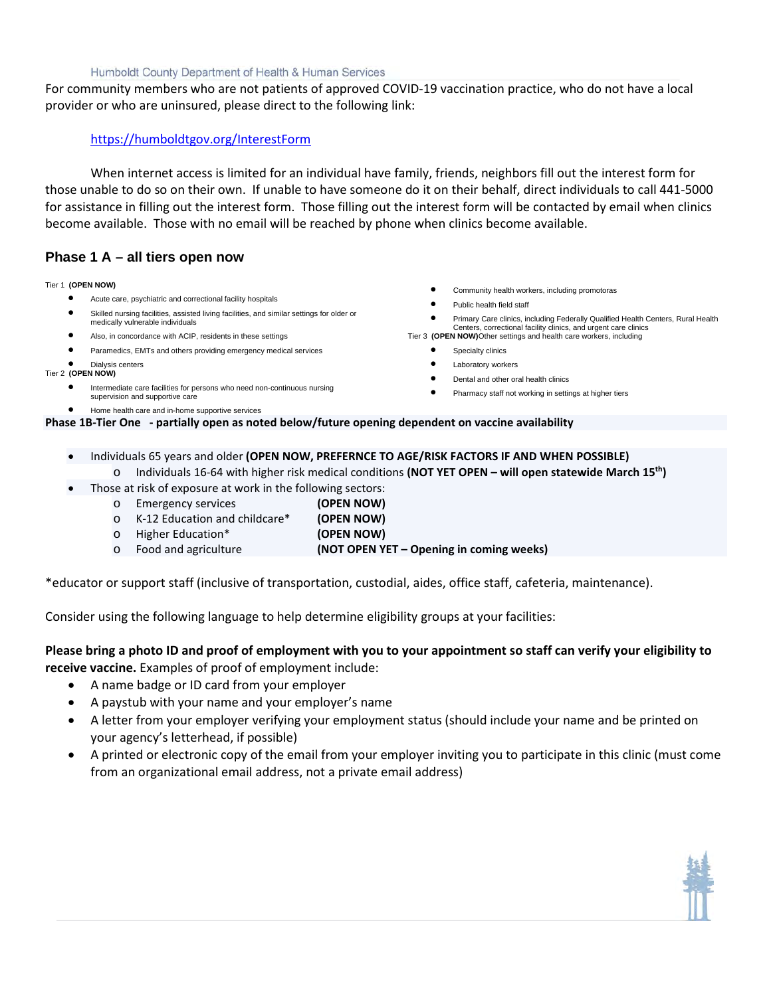### Humboldt County Department of Health & Human Services

For community members who are not patients of approved COVID-19 vaccination practice, who do not have a local provider or who are uninsured, please direct to the following link:

# <https://humboldtgov.org/InterestForm>

When internet access is limited for an individual have family, friends, neighbors fill out the interest form for those unable to do so on their own. If unable to have someone do it on their behalf, direct individuals to call 441-5000 for assistance in filling out the interest form. Those filling out the interest form will be contacted by email when clinics become available. Those with no email will be reached by phone when clinics become available.

# **Phase 1 A – all tiers open now**

### Tier 1 **(OPEN NOW)**

- Acute care, psychiatric and correctional facility hospitals
- Skilled nursing facilities, assisted living facilities, and similar settings for older or medically vulnerable individuals
- Also, in concordance with ACIP, residents in these settings
- Paramedics, EMTs and others providing emergency medical services

#### • Dialysis centers Tier 2 **(OPEN NOW)**

- Intermediate care facilities for persons who need non-continuous nursing
- supervision and supportive care
- Home health care and in-home supportive services
- Community health workers, including promotoras
- Public health field staff
- Primary Care clinics, including Federally Qualified Health Centers, Rural Health Centers, correctional facility clinics, and urgent care clinics
- Tier 3 **(OPEN NOW)**Other settings and health care workers, including
	- Specialty clinics
	- Laboratory workers
	- Dental and other oral health clinics
	- Pharmacy staff not working in settings at higher tiers

**Phase 1B-Tier One - partially open as noted below/future opening dependent on vaccine availability**

- Individuals 65 years and older **(OPEN NOW, PREFERNCE TO AGE/RISK FACTORS IF AND WHEN POSSIBLE)** o Individuals 16-64 with higher risk medical conditions **(NOT YET OPEN – will open statewide March 15th)**
- Those at risk of exposure at work in the following sectors:

| $\circ$ | Emergency services            | (OPEN NOW) |
|---------|-------------------------------|------------|
| $\circ$ | K-12 Education and childcare* | (OPEN NOW) |
|         | o Higher Education*           | (OPEN NOW) |

o Food and agriculture **(NOT OPEN YET – Opening in coming weeks)**

\*educator or support staff (inclusive of transportation, custodial, aides, office staff, cafeteria, maintenance).

Consider using the following language to help determine eligibility groups at your facilities:

# **Please bring a photo ID and proof of employment with you to your appointment so staff can verify your eligibility to receive vaccine.** Examples of proof of employment include:

- A name badge or ID card from your employer
- A paystub with your name and your employer's name
- A letter from your employer verifying your employment status (should include your name and be printed on your agency's letterhead, if possible)
- A printed or electronic copy of the email from your employer inviting you to participate in this clinic (must come from an organizational email address, not a private email address)